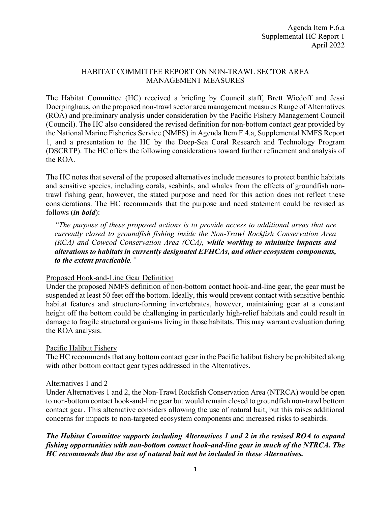### HABITAT COMMITTEE REPORT ON NON-TRAWL SECTOR AREA MANAGEMENT MEASURES

The Habitat Committee (HC) received a briefing by Council staff, Brett Wiedoff and Jessi Doerpinghaus, on the proposed non-trawl sector area management measures Range of Alternatives (ROA) and preliminary analysis under consideration by the Pacific Fishery Management Council (Council). The HC also considered the revised definition for non-bottom contact gear provided by the National Marine Fisheries Service (NMFS) in Agenda Item F.4.a, Supplemental NMFS Report 1, and a presentation to the HC by the Deep-Sea Coral Research and Technology Program (DSCRTP). The HC offers the following considerations toward further refinement and analysis of the ROA.

The HC notes that several of the proposed alternatives include measures to protect benthic habitats and sensitive species, including corals, seabirds, and whales from the effects of groundfish nontrawl fishing gear, however, the stated purpose and need for this action does not reflect these considerations. The HC recommends that the purpose and need statement could be revised as follows (*in bold*):

*"The purpose of these proposed actions is to provide access to additional areas that are currently closed to groundfish fishing inside the Non-Trawl Rockfish Conservation Area (RCA) and Cowcod Conservation Area (CCA), while working to minimize impacts and alterations to habitats in currently designated EFHCAs, and other ecosystem components, to the extent practicable."*

### Proposed Hook-and-Line Gear Definition

Under the proposed NMFS definition of non-bottom contact hook-and-line gear, the gear must be suspended at least 50 feet off the bottom. Ideally, this would prevent contact with sensitive benthic habitat features and structure-forming invertebrates, however, maintaining gear at a constant height off the bottom could be challenging in particularly high-relief habitats and could result in damage to fragile structural organisms living in those habitats. This may warrant evaluation during the ROA analysis.

### Pacific Halibut Fishery

The HC recommends that any bottom contact gear in the Pacific halibut fishery be prohibited along with other bottom contact gear types addressed in the Alternatives.

#### Alternatives 1 and 2

Under Alternatives 1 and 2, the Non-Trawl Rockfish Conservation Area (NTRCA) would be open to non-bottom contact hook-and-line gear but would remain closed to groundfish non-trawl bottom contact gear. This alternative considers allowing the use of natural bait, but this raises additional concerns for impacts to non-targeted ecosystem components and increased risks to seabirds.

*The Habitat Committee supports including Alternatives 1 and 2 in the revised ROA to expand fishing opportunities with non-bottom contact hook-and-line gear in much of the NTRCA. The HC recommends that the use of natural bait not be included in these Alternatives.*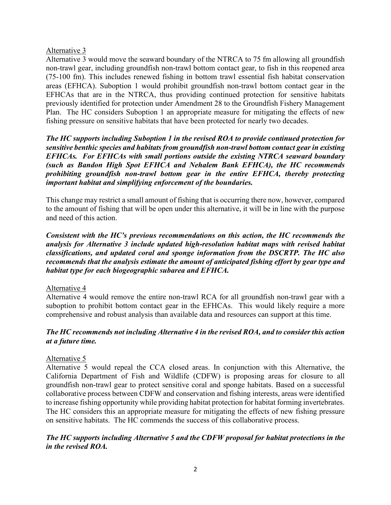## Alternative 3

Alternative 3 would move the seaward boundary of the NTRCA to 75 fm allowing all groundfish non-trawl gear, including groundfish non-trawl bottom contact gear, to fish in this reopened area (75-100 fm). This includes renewed fishing in bottom trawl essential fish habitat conservation areas (EFHCA). Suboption 1 would prohibit groundfish non-trawl bottom contact gear in the EFHCAs that are in the NTRCA, thus providing continued protection for sensitive habitats previously identified for protection under Amendment 28 to the Groundfish Fishery Management Plan. The HC considers Suboption 1 an appropriate measure for mitigating the effects of new fishing pressure on sensitive habitats that have been protected for nearly two decades.

*The HC supports including Suboption 1 in the revised ROA to provide continued protection for sensitive benthic species and habitats from groundfish non-trawl bottom contact gear in existing EFHCAs. For EFHCAs with small portions outside the existing NTRCA seaward boundary (such as Bandon High Spot EFHCA and Nehalem Bank EFHCA), the HC recommends prohibiting groundfish non-trawl bottom gear in the entire EFHCA, thereby protecting important habitat and simplifying enforcement of the boundaries.* 

This change may restrict a small amount of fishing that is occurring there now, however, compared to the amount of fishing that will be open under this alternative, it will be in line with the purpose and need of this action.

*Consistent with the HC's previous recommendations on this action, the HC recommends the analysis for Alternative 3 include updated high-resolution habitat maps with revised habitat classifications, and updated coral and sponge information from the DSCRTP. The HC also recommends that the analysis estimate the amount of anticipated fishing effort by gear type and habitat type for each biogeographic subarea and EFHCA.* 

### Alternative 4

Alternative 4 would remove the entire non-trawl RCA for all groundfish non-trawl gear with a suboption to prohibit bottom contact gear in the EFHCAs. This would likely require a more comprehensive and robust analysis than available data and resources can support at this time.

# *The HC recommends not including Alternative 4 in the revised ROA, and to consider this action at a future time.*

# Alternative 5

Alternative 5 would repeal the CCA closed areas. In conjunction with this Alternative, the California Department of Fish and Wildlife (CDFW) is proposing areas for closure to all groundfish non-trawl gear to protect sensitive coral and sponge habitats. Based on a successful collaborative process between CDFW and conservation and fishing interests, areas were identified to increase fishing opportunity while providing habitat protection for habitat forming invertebrates. The HC considers this an appropriate measure for mitigating the effects of new fishing pressure on sensitive habitats. The HC commends the success of this collaborative process.

# *The HC supports including Alternative 5 and the CDFW proposal for habitat protections in the in the revised ROA.*